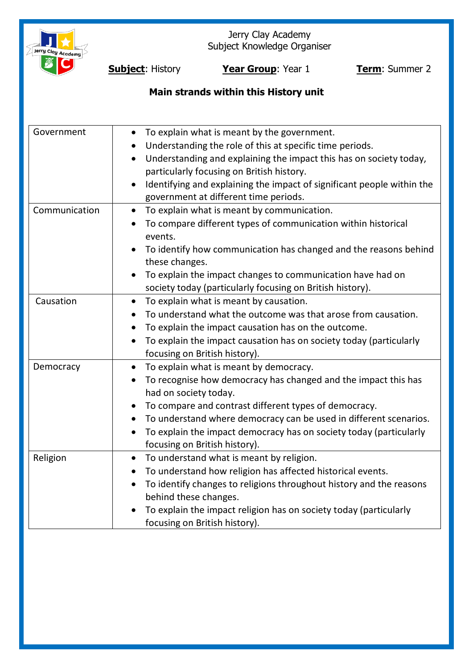

Jerry Clay Academy Subject Knowledge Organiser

**Subject**: History **Year Group**: Year 1 **Term**: Summer 2

# **Main strands within this History unit**

| Government    | To explain what is meant by the government.<br>$\bullet$                            |
|---------------|-------------------------------------------------------------------------------------|
|               | Understanding the role of this at specific time periods.                            |
|               | Understanding and explaining the impact this has on society today,<br>$\bullet$     |
|               | particularly focusing on British history.                                           |
|               | Identifying and explaining the impact of significant people within the<br>$\bullet$ |
|               | government at different time periods.                                               |
| Communication | To explain what is meant by communication.<br>$\bullet$                             |
|               | To compare different types of communication within historical<br>$\bullet$          |
|               | events.                                                                             |
|               | To identify how communication has changed and the reasons behind<br>these changes.  |
|               | To explain the impact changes to communication have had on                          |
|               | society today (particularly focusing on British history).                           |
| Causation     | To explain what is meant by causation.<br>$\bullet$                                 |
|               | To understand what the outcome was that arose from causation.                       |
|               | To explain the impact causation has on the outcome.<br>$\bullet$                    |
|               | To explain the impact causation has on society today (particularly<br>$\bullet$     |
|               | focusing on British history).                                                       |
| Democracy     | To explain what is meant by democracy.                                              |
|               | To recognise how democracy has changed and the impact this has<br>$\bullet$         |
|               | had on society today.                                                               |
|               | To compare and contrast different types of democracy.                               |
|               | To understand where democracy can be used in different scenarios.<br>$\bullet$      |
|               | To explain the impact democracy has on society today (particularly                  |
|               | focusing on British history).                                                       |
| Religion      | To understand what is meant by religion.<br>$\bullet$                               |
|               | To understand how religion has affected historical events.<br>$\bullet$             |
|               | To identify changes to religions throughout history and the reasons<br>$\bullet$    |
|               | behind these changes.                                                               |
|               | To explain the impact religion has on society today (particularly                   |
|               | focusing on British history).                                                       |